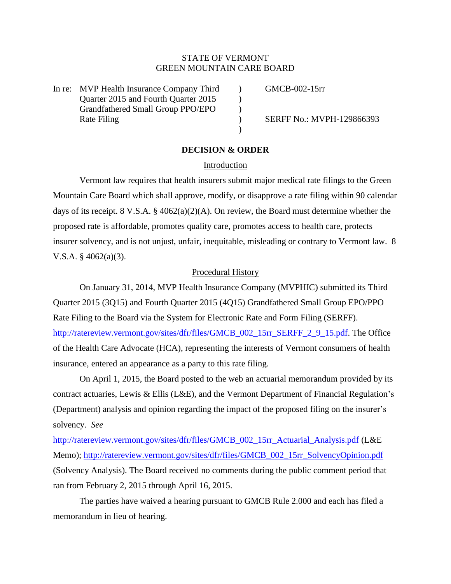# STATE OF VERMONT GREEN MOUNTAIN CARE BOARD

In re: MVP Health Insurance Company Third (GMCB-002-15rr Quarter 2015 and Fourth Quarter 2015 Grandfathered Small Group PPO/EPO ) Rate Filing (a) SERFF No.: MVPH-129866393

# **DECISION & ORDER**

)

### Introduction

Vermont law requires that health insurers submit major medical rate filings to the Green Mountain Care Board which shall approve, modify, or disapprove a rate filing within 90 calendar days of its receipt. 8 V.S.A. § 4062(a)(2)(A). On review, the Board must determine whether the proposed rate is affordable, promotes quality care, promotes access to health care, protects insurer solvency, and is not unjust, unfair, inequitable, misleading or contrary to Vermont law. 8 V.S.A.  $§$  4062(a)(3).

### Procedural History

On January 31, 2014, MVP Health Insurance Company (MVPHIC) submitted its Third Quarter 2015 (3Q15) and Fourth Quarter 2015 (4Q15) Grandfathered Small Group EPO/PPO Rate Filing to the Board via the System for Electronic Rate and Form Filing (SERFF). [http://ratereview.vermont.gov/sites/dfr/files/GMCB\\_002\\_15rr\\_SERFF\\_2\\_9\\_15.pdf.](http://ratereview.vermont.gov/sites/dfr/files/GMCB_002_15rr_SERFF_2_9_15.pdf) The Office of the Health Care Advocate (HCA), representing the interests of Vermont consumers of health insurance, entered an appearance as a party to this rate filing.

On April 1, 2015, the Board posted to the web an actuarial memorandum provided by its contract actuaries, Lewis & Ellis (L&E), and the Vermont Department of Financial Regulation's (Department) analysis and opinion regarding the impact of the proposed filing on the insurer's solvency. *See*

[http://ratereview.vermont.gov/sites/dfr/files/GMCB\\_002\\_15rr\\_Actuarial\\_Analysis.pdf](http://ratereview.vermont.gov/sites/dfr/files/GMCB_002_15rr_Actuarial_Analysis.pdf) (L&E Memo); [http://ratereview.vermont.gov/sites/dfr/files/GMCB\\_002\\_15rr\\_SolvencyOpinion.pdf](http://ratereview.vermont.gov/sites/dfr/files/GMCB_002_15rr_SolvencyOpinion.pdf) (Solvency Analysis). The Board received no comments during the public comment period that ran from February 2, 2015 through April 16, 2015.

The parties have waived a hearing pursuant to GMCB Rule 2.000 and each has filed a memorandum in lieu of hearing.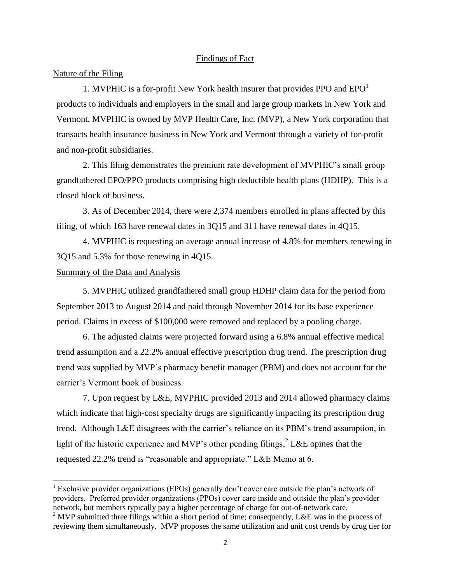### Findings of Fact

### Nature of the Filing

1. MVPHIC is a for-profit New York health insurer that provides PPO and  $EPO<sup>1</sup>$ products to individuals and employers in the small and large group markets in New York and Vermont. MVPHIC is owned by MVP Health Care, Inc. (MVP), a New York corporation that transacts health insurance business in New York and Vermont through a variety of for-profit and non-profit subsidiaries.

2. This filing demonstrates the premium rate development of MVPHIC's small group grandfathered EPO/PPO products comprising high deductible health plans (HDHP). This is a closed block of business.

3. As of December 2014, there were 2,374 members enrolled in plans affected by this filing, of which 163 have renewal dates in 3Q15 and 311 have renewal dates in 4Q15.

4. MVPHIC is requesting an average annual increase of 4.8% for members renewing in 3Q15 and 5.3% for those renewing in 4Q15.

# Summary of the Data and Analysis

 $\overline{\phantom{a}}$ 

5. MVPHIC utilized grandfathered small group HDHP claim data for the period from September 2013 to August 2014 and paid through November 2014 for its base experience period. Claims in excess of \$100,000 were removed and replaced by a pooling charge.

6. The adjusted claims were projected forward using a 6.8% annual effective medical trend assumption and a 22.2% annual effective prescription drug trend. The prescription drug trend was supplied by MVP's pharmacy benefit manager (PBM) and does not account for the carrier's Vermont book of business.

7. Upon request by L&E, MVPHIC provided 2013 and 2014 allowed pharmacy claims which indicate that high-cost specialty drugs are significantly impacting its prescription drug trend. Although L&E disagrees with the carrier's reliance on its PBM's trend assumption, in light of the historic experience and MVP's other pending filings,  $2$  L&E opines that the requested 22.2% trend is "reasonable and appropriate." L&E Memo at 6.

<sup>&</sup>lt;sup>1</sup> Exclusive provider organizations (EPOs) generally don't cover care outside the plan's network of providers. Preferred provider organizations (PPOs) cover care inside and outside the plan's provider network, but members typically pay a higher percentage of charge for out-of-network care.

 $2$  MVP submitted three filings within a short period of time; consequently, L&E was in the process of reviewing them simultaneously. MVP proposes the same utilization and unit cost trends by drug tier for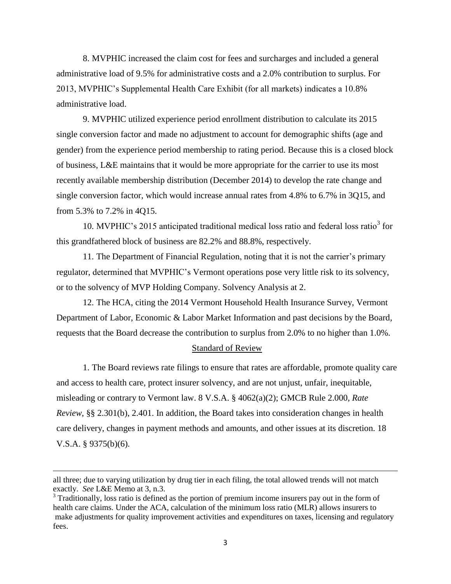8. MVPHIC increased the claim cost for fees and surcharges and included a general administrative load of 9.5% for administrative costs and a 2.0% contribution to surplus. For 2013, MVPHIC's Supplemental Health Care Exhibit (for all markets) indicates a 10.8% administrative load.

9. MVPHIC utilized experience period enrollment distribution to calculate its 2015 single conversion factor and made no adjustment to account for demographic shifts (age and gender) from the experience period membership to rating period. Because this is a closed block of business, L&E maintains that it would be more appropriate for the carrier to use its most recently available membership distribution (December 2014) to develop the rate change and single conversion factor, which would increase annual rates from 4.8% to 6.7% in 3Q15, and from 5.3% to 7.2% in 4Q15.

10. MVPHIC's 2015 anticipated traditional medical loss ratio and federal loss ratio<sup>3</sup> for this grandfathered block of business are 82.2% and 88.8%, respectively.

11. The Department of Financial Regulation, noting that it is not the carrier's primary regulator, determined that MVPHIC's Vermont operations pose very little risk to its solvency, or to the solvency of MVP Holding Company. Solvency Analysis at 2.

12. The HCA, citing the 2014 Vermont Household Health Insurance Survey, Vermont Department of Labor, Economic & Labor Market Information and past decisions by the Board, requests that the Board decrease the contribution to surplus from 2.0% to no higher than 1.0%.

### Standard of Review

1. The Board reviews rate filings to ensure that rates are affordable, promote quality care and access to health care, protect insurer solvency, and are not unjust, unfair, inequitable, misleading or contrary to Vermont law. 8 V.S.A. § 4062(a)(2); GMCB Rule 2.000, *Rate Review*, §§ 2.301(b), 2.401. In addition, the Board takes into consideration changes in health care delivery, changes in payment methods and amounts, and other issues at its discretion. 18 V.S.A. § 9375(b)(6).

 $\overline{a}$ 

all three; due to varying utilization by drug tier in each filing, the total allowed trends will not match exactly. *See* L&E Memo at 3, n.3.

<sup>&</sup>lt;sup>3</sup> Traditionally, loss ratio is defined as the portion of premium income insurers pay out in the form of health care claims. Under the ACA, calculation of the minimum loss ratio (MLR) allows insurers to make adjustments for quality improvement activities and expenditures on taxes, licensing and regulatory fees.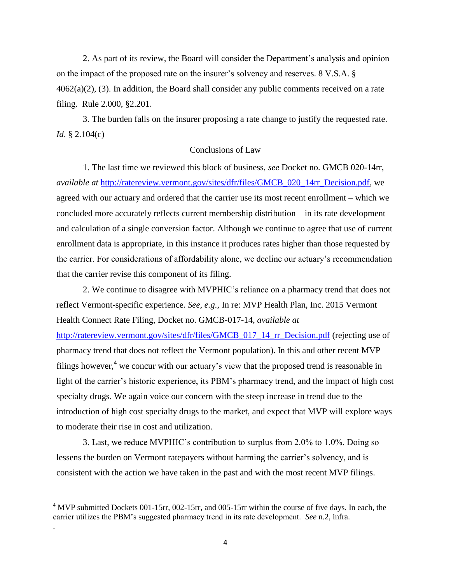2. As part of its review, the Board will consider the Department's analysis and opinion on the impact of the proposed rate on the insurer's solvency and reserves. 8 V.S.A. §  $4062(a)(2)$ , (3). In addition, the Board shall consider any public comments received on a rate filing. Rule 2.000, §2.201.

3. The burden falls on the insurer proposing a rate change to justify the requested rate. *Id*. § 2.104(c)

# Conclusions of Law

1. The last time we reviewed this block of business, *see* Docket no. GMCB 020-14rr, *available at* [http://ratereview.vermont.gov/sites/dfr/files/GMCB\\_020\\_14rr\\_Decision.pdf,](http://ratereview.vermont.gov/sites/dfr/files/GMCB_020_14rr_Decision.pdf) we agreed with our actuary and ordered that the carrier use its most recent enrollment – which we concluded more accurately reflects current membership distribution – in its rate development and calculation of a single conversion factor. Although we continue to agree that use of current enrollment data is appropriate, in this instance it produces rates higher than those requested by the carrier. For considerations of affordability alone, we decline our actuary's recommendation that the carrier revise this component of its filing.

2. We continue to disagree with MVPHIC's reliance on a pharmacy trend that does not reflect Vermont-specific experience. *See, e.g.,* In re: MVP Health Plan, Inc. 2015 Vermont Health Connect Rate Filing, Docket no. GMCB-017-14, *available at*  [http://ratereview.vermont.gov/sites/dfr/files/GMCB\\_017\\_14\\_rr\\_Decision.pdf](http://ratereview.vermont.gov/sites/dfr/files/GMCB_017_14_rr_Decision.pdf) (rejecting use of pharmacy trend that does not reflect the Vermont population). In this and other recent MVP filings however,<sup>4</sup> we concur with our actuary's view that the proposed trend is reasonable in light of the carrier's historic experience, its PBM's pharmacy trend, and the impact of high cost specialty drugs. We again voice our concern with the steep increase in trend due to the introduction of high cost specialty drugs to the market, and expect that MVP will explore ways to moderate their rise in cost and utilization.

3. Last, we reduce MVPHIC's contribution to surplus from 2.0% to 1.0%. Doing so lessens the burden on Vermont ratepayers without harming the carrier's solvency, and is consistent with the action we have taken in the past and with the most recent MVP filings.

 $\overline{a}$ 

.

 $4$  MVP submitted Dockets 001-15rr, 002-15rr, and 005-15rr within the course of five days. In each, the carrier utilizes the PBM's suggested pharmacy trend in its rate development. *See* n.2, infra.